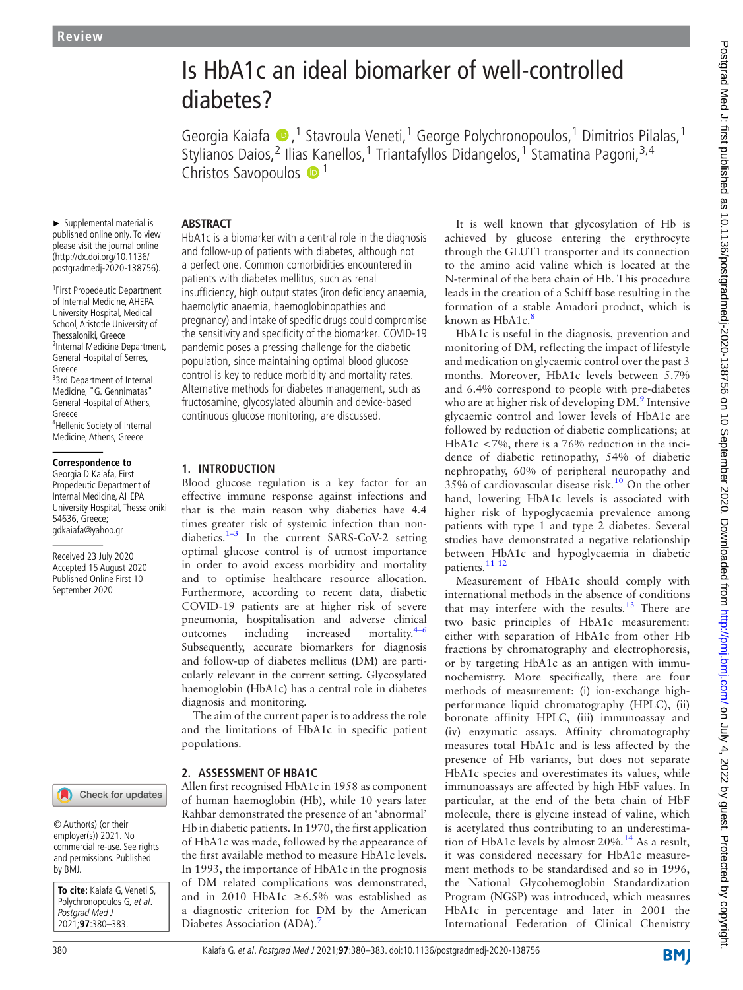# Is HbA1c an ideal biomarker of well-controlled diabetes?

Georgia Kaiafa (D, <sup>1</sup> Stavroula Veneti, <sup>1</sup> George Polychronopoulos, <sup>1</sup> Dimitrios Pilalas, <sup>1</sup> Stylianos Daios,<sup>[2](http://orcid.org/0000-0001-8000-4500)</sup> Ilias Kanellos,<sup>1</sup> Triantafyllos Didangelos,<sup>1</sup> Stamatina Pagoni,<sup>3,4</sup> Christos Savopoulos  $\bullet$ <sup>1</sup>

## **ABSTRACT**

► Supplemental material is published online only. To view please visit the journal online [\(http://dx.doi.org/10.1136/](http://dx.doi.org/10.1136/postgradmedj-2020-138756) [postgradmedj-2020-1](http://dx.doi.org/10.1136/postgradmedj-2020-138756)38756).

1 [First Pro](http://dx.doi.org/10.1136/postgradmedj-2020-138756)pedeutic Department of Internal Medicine, AHEPA University Hospital, Medical School, Aristotle University of Thessaloniki, Greece <sup>2</sup>Internal Medicine Department, General Hospital of Serres, Greece <sup>3</sup>3rd Department of Internal Medicine, "G. Gennimatas" General Hospital of Athens, Greece 4 Hellenic Society of Internal Medicine, Athens, Greece

## **Correspondence to**

Georgia D Kaiafa, First Propedeutic Department of Internal Medicine, AHEPA University Hospital, Thessaloniki 54636, Greece; gdkaiafa@yahoo.gr

Received 23 July 2020 Accepted 15 August 2020 Published Online First 10 September 2020

## Check for updates

© Author(s) (or their employer(s)) 2021. No commercial re-use. See rights and permissions. Published by BMJ.

**To cite:** Kaiafa G, Veneti S, Polychronopoulos G, et al. Postgrad Med J 2021;**97**:380–383.

HbA1c is a biomarker with a central role in the diagnosis and follow-up of patients with diabetes, although not a perfect one. Common comorbidities encountered in patients with diabetes mellitus, such as renal insufficiency, high output states (iron deficiency anaemia, haemolytic anaemia, haemoglobinopathies and pregnancy) and intake of specific drugs could compromise the sensitivity and specificity of the biomarker. COVID-19 pandemic poses a pressing challenge for the diabetic population, since maintaining optimal blood glucose control is key to reduce morbidity and mortality rates. Alternative methods for diabetes management, such as fructosamine, glycosylated albumin and device-based continuous glucose monitoring, are discussed.

# 1. INTRODUCTION

Blood glucose regulation is a key factor for an effective immune response against infections and that is the main reason why diabetics have 4.4 times greater risk of systemic infection than non-diabetics.<sup>[1](#page-3-0)–3</sup> In the current SARS-CoV-2 setting optimal glucose control is of utmost importance in order to avoid excess morbidity and mortality and to optimise healthcare resource allocation. Furthermore, according to recent data, diabetic COVID-19 patients are at higher risk of severe pneumonia, hospitalisation and adverse clinical outcomes including increased mortality.<sup>[4](#page-3-1)–6</sup> Subsequently, accurate biomarkers for diagnosis and follow-up of diabetes mellitus (DM) are particularly relevant in the current setting. Glycosylated haemoglobin (HbA1c) has a central role in diabetes diagnosis and monitoring.

The aim of the current paper is to address the role and the limitations of HbA1c in specific patient populations.

## 2. ASSESSMENT OF HBA1C

Allen first recognised HbA1c in 1958 as component of human haemoglobin (Hb), while 10 years later Rahbar demonstrated the presence of an 'abnormal' Hb in diabetic patients. In 1970, the first application of HbA1c was made, followed by the appearance of the first available method to measure HbA1c levels. In 1993, the importance of HbA1c in the prognosis of DM related complications was demonstrated, and in 2010 HbA1c ≥6.5% was established as a diagnostic criterion for DM by the American Diabetes Association (ADA).<sup>[7](#page-3-2)</sup>

It is well known that glycosylation of Hb is achieved by glucose entering the erythrocyte through the GLUT1 transporter and its connection to the amino acid valine which is located at the N-terminal of the beta chain of Hb. This procedure leads in the creation of a Schiff base resulting in the formation of a stable Amadori product, which is known as HbA1c.<sup>[8](#page-3-3)</sup>

ΗbA1c is useful in the diagnosis, prevention and monitoring of DM, reflecting the impact of lifestyle and medication on glycaemic control over the past 3 months. Moreover, HbA1c levels between 5.7% and 6.4% correspond to people with pre-diabetes who are at higher risk of developing DM.<sup>[9](#page-3-4)</sup> Intensive glycaemic control and lower levels of HbA1c are followed by reduction of diabetic complications; at HbA1c <7%, there is a 76% reduction in the incidence of diabetic retinopathy, 54% of diabetic nephropathy, 60% of peripheral neuropathy and 35% of cardiovascular disease risk.[10](#page-3-5) On the other hand, lowering HbA1c levels is associated with higher risk of hypoglycaemia prevalence among patients with type 1 and type 2 diabetes. Several studies have demonstrated a negative relationship between HbA1c and hypoglycaemia in diabetic patients.<sup>[11 12](#page-3-6)</sup>

Measurement of HbA1c should comply with international methods in the absence of conditions that may interfere with the results.<sup>[13](#page-3-7)</sup> There are two basic principles of HbA1c measurement: either with separation of HbA1c from other Hb fractions by chromatography and electrophoresis, or by targeting HbA1c as an antigen with immunochemistry. More specifically, there are four methods of measurement: (i) ion-exchange highperformance liquid chromatography (HPLC), (ii) boronate affinity HPLC, (iii) immunoassay and (iv) enzymatic assays. Affinity chromatography measures total HbA1c and is less affected by the presence of Hb variants, but does not separate HbA1c species and overestimates its values, while immunoassays are affected by high HbF values. In particular, at the end of the beta chain of HbF molecule, there is glycine instead of valine, which is acetylated thus contributing to an underestimation of HbA1c levels by almost  $20\%$ .<sup>[14](#page-3-8)</sup> As a result, it was considered necessary for HbA1c measurement methods to be standardised and so in 1996, the National Glycohemoglobin Standardization Program (NGSP) was introduced, which measures HbA1c in percentage and later in 2001 the International Federation of Clinical Chemistry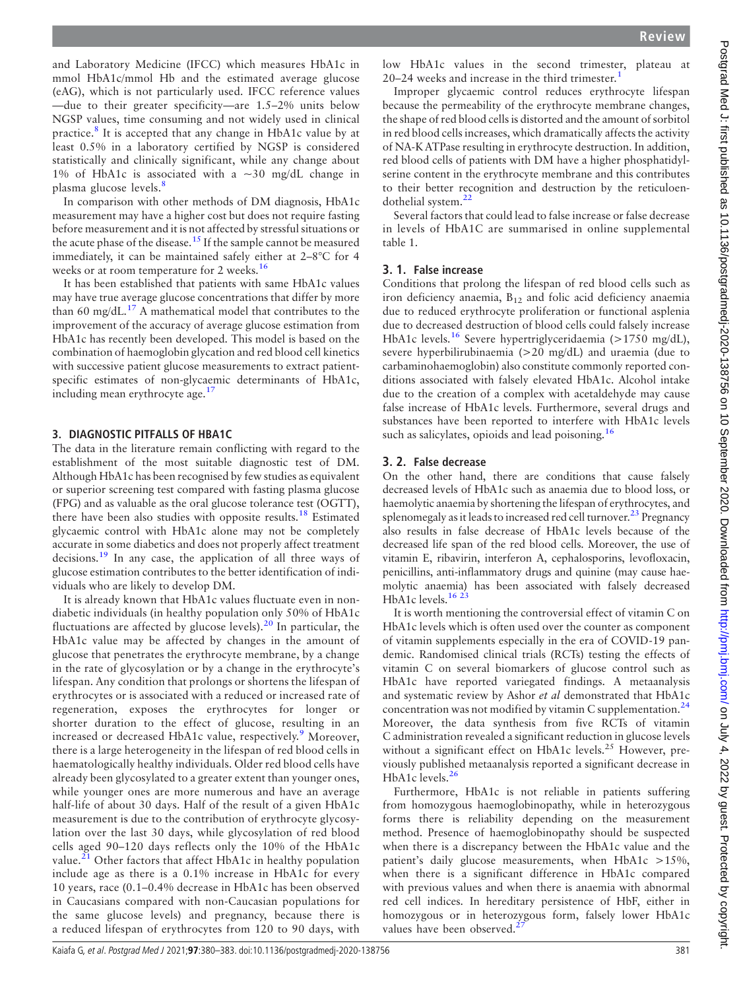and Laboratory Medicine (IFCC) which measures HbA1c in mmol HbA1c/mmol Hb and the estimated average glucose (eAG), which is not particularly used. IFCC reference values —due to their greater specificity—are 1.5–2% units below NGSP values, time consuming and not widely used in clinical practice.[8](#page-3-3) It is accepted that any change in HbA1c value by at least 0.5% in a laboratory certified by NGSP is considered statistically and clinically significant, while any change about 1% of HbA1c is associated with a  $\sim$ 30 mg/dL change in plasma glucose levels.<sup>[8](#page-3-3)</sup>

In comparison with other methods of DM diagnosis, HbA1c measurement may have a higher cost but does not require fasting before measurement and it is not affected by stressful situations or the acute phase of the disease.<sup>[15](#page-3-9)</sup> If the sample cannot be measured immediately, it can be maintained safely either at 2–8°C for 4 weeks or at room temperature for 2 weeks.<sup>[16](#page-3-10)</sup>

It has been established that patients with same HbA1c values may have true average glucose concentrations that differ by more than 60 mg/dL $^{17}$  $^{17}$  $^{17}$  A mathematical model that contributes to the improvement of the accuracy of average glucose estimation from HbA1c has recently been developed. This model is based on the combination of haemoglobin glycation and red blood cell kinetics with successive patient glucose measurements to extract patientspecific estimates of non-glycaemic determinants of HbA1c, including mean erythrocyte age.<sup>[17](#page-3-11)</sup>

# 3. DIAGNOSTIC PITFALLS OF HBA1C

The data in the literature remain conflicting with regard to the establishment of the most suitable diagnostic test of DM. Although HbA1c has been recognised by few studies as equivalent or superior screening test compared with fasting plasma glucose (FPG) and as valuable as the oral glucose tolerance test (OGTT), there have been also studies with opposite results.<sup>[18](#page-3-12)</sup> Estimated glycaemic control with HbA1c alone may not be completely accurate in some diabetics and does not properly affect treatment decisions.[19](#page-3-13) In any case, the application of all three ways of glucose estimation contributes to the better identification of individuals who are likely to develop DM.

It is already known that HbA1c values fluctuate even in nondiabetic individuals (in healthy population only 50% of HbA1c fluctuations are affected by glucose levels).[20](#page-3-14) In particular, the HbA1c value may be affected by changes in the amount of glucose that penetrates the erythrocyte membrane, by a change in the rate of glycosylation or by a change in the erythrocyte's lifespan. Any condition that prolongs or shortens the lifespan of erythrocytes or is associated with a reduced or increased rate of regeneration, exposes the erythrocytes for longer or shorter duration to the effect of glucose, resulting in an increased or decreased HbA1c value, respectively.<sup>[9](#page-3-4)</sup> Moreover, there is a large heterogeneity in the lifespan of red blood cells in haematologically healthy individuals. Older red blood cells have already been glycosylated to a greater extent than younger ones, while younger ones are more numerous and have an average half-life of about 30 days. Half of the result of a given HbA1c measurement is due to the contribution of erythrocyte glycosylation over the last 30 days, while glycosylation of red blood cells aged 90–120 days reflects only the 10% of the HbA1c value.<sup>[21](#page-3-15)</sup> Other factors that affect HbA1c in healthy population include age as there is a 0.1% increase in HbA1c for every 10 years, race (0.1–0.4% decrease in HbA1c has been observed in Caucasians compared with non-Caucasian populations for the same glucose levels) and pregnancy, because there is a reduced lifespan of erythrocytes from 120 to 90 days, with

low HbA1c values in the second trimester, plateau at 20–24 weeks and increase in the third trimester.[1](#page-3-0)

Improper glycaemic control reduces erythrocyte lifespan because the permeability of the erythrocyte membrane changes, the shape of red blood cells is distorted and the amount of sorbitol in red blood cells increases, which dramatically affects the activity of NA-K ATPase resulting in erythrocyte destruction. In addition, red blood cells of patients with DM have a higher phosphatidylserine content in the erythrocyte membrane and this contributes to their better recognition and destruction by the reticuloendothelial system.[22](#page-3-16)

Several factors that could lead to false increase or false decrease in levels of HbA1C are summarised in [online supplemental](https://dx.doi.org/10.1136/postgradmedj-2020-138756) [table 1.](https://dx.doi.org/10.1136/postgradmedj-2020-138756)

# 3. 1. False increase

Conditions that prolong the lifespan of red blood cells such as iron deficiency anaemia, B12 and folic acid deficiency anaemia due to reduced erythrocyte proliferation or functional asplenia due to decreased destruction of blood cells could falsely increase HbA1c levels.<sup>[16](#page-3-10)</sup> Severe hypertriglyceridaemia (>1750 mg/dL), severe hyperbilirubinaemia (>20 mg/dL) and uraemia (due to carbaminohaemoglobin) also constitute commonly reported conditions associated with falsely elevated HbA1c. Alcohol intake due to the creation of a complex with acetaldehyde may cause false increase of HbA1c levels. Furthermore, several drugs and substances have been reported to interfere with HbA1c levels such as salicylates, opioids and lead poisoning.<sup>[16](#page-3-10)</sup>

# 3. 2. False decrease

On the other hand, there are conditions that cause falsely decreased levels of HbA1c such as anaemia due to blood loss, or haemolytic anaemia by shortening the lifespan of erythrocytes, and splenomegaly as it leads to increased red cell turnover.<sup>23</sup> Pregnancy also results in false decrease of HbA1c levels because of the decreased life span of the red blood cells. Moreover, the use of vitamin E, ribavirin, interferon A, cephalosporins, levofloxacin, penicillins, anti-inflammatory drugs and quinine (may cause haemolytic anaemia) has been associated with falsely decreased HbA1c levels.<sup>16 23</sup>

It is worth mentioning the controversial effect of vitamin C on HbA1c levels which is often used over the counter as component of vitamin supplements especially in the era of COVID-19 pandemic. Randomised clinical trials (RCTs) testing the effects of vitamin C on several biomarkers of glucose control such as HbA1c have reported variegated findings. A metaanalysis and systematic review by Ashor et al demonstrated that HbA1c concentration was not modified by vitamin C supplementation. $24$ Moreover, the data synthesis from five RCTs of vitamin C administration revealed a significant reduction in glucose levels without a significant effect on HbA1c levels.<sup>25</sup> However, previously published metaanalysis reported a significant decrease in HbA1c levels.<sup>[26](#page-3-19)</sup>

Furthermore, HbA1c is not reliable in patients suffering from homozygous haemoglobinopathy, while in heterozygous forms there is reliability depending on the measurement method. Presence of haemoglobinopathy should be suspected when there is a discrepancy between the HbA1c value and the patient's daily glucose measurements, when HbA1c >15%, when there is a significant difference in HbA1c compared with previous values and when there is anaemia with abnormal red cell indices. In hereditary persistence of HbF, either in homozygous or in heterozygous form, falsely lower HbA1c values have been observed.<sup>2</sup>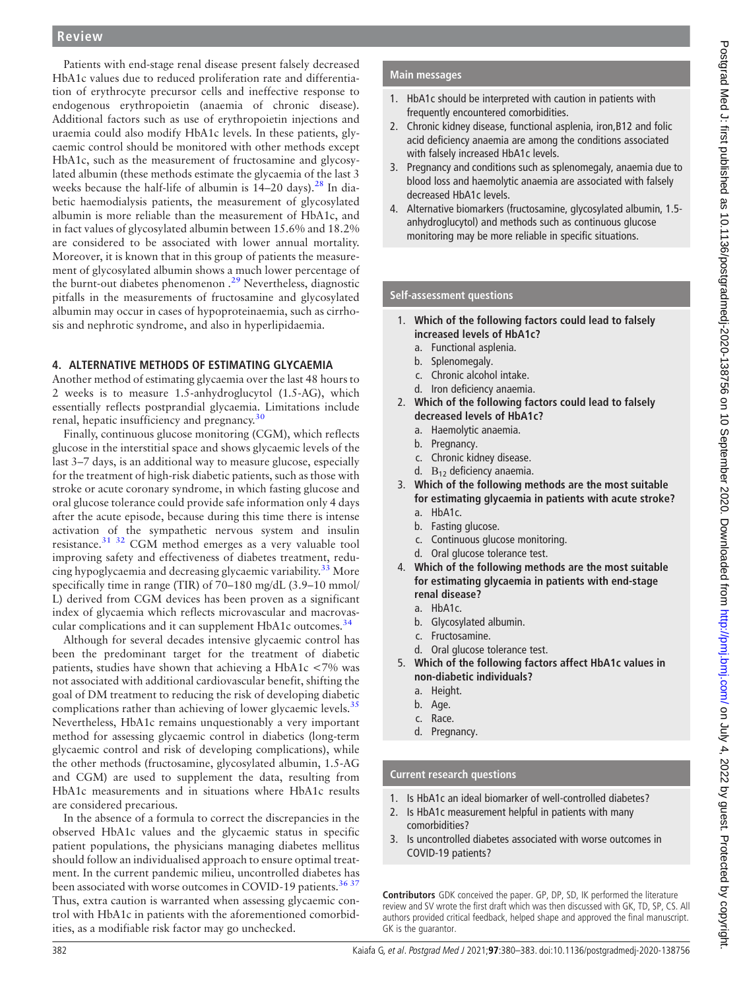# **Review**

Patients with end-stage renal disease present falsely decreased HbA1c values due to reduced proliferation rate and differentiation of erythrocyte precursor cells and ineffective response to endogenous erythropoietin (anaemia of chronic disease). Additional factors such as use of erythropoietin injections and uraemia could also modify HbA1c levels. In these patients, glycaemic control should be monitored with other methods except HbA1c, such as the measurement of fructosamine and glycosylated albumin (these methods estimate the glycaemia of the last 3 weeks because the half-life of albumin is  $14-20$  days).<sup>[28](#page-3-21)</sup> In diabetic haemodialysis patients, the measurement of glycosylated albumin is more reliable than the measurement of HbA1c, and in fact values of glycosylated albumin between 15.6% and 18.2% are considered to be associated with lower annual mortality. Moreover, it is known that in this group of patients the measurement of glycosylated albumin shows a much lower percentage of the burnt-out diabetes phenomenon .<sup>[29](#page-3-22)</sup> Nevertheless, diagnostic pitfalls in the measurements of fructosamine and glycosylated albumin may occur in cases of hypoproteinaemia, such as cirrhosis and nephrotic syndrome, and also in hyperlipidaemia.

# 4. ALTERNATIVE METHODS OF ESTIMATING GLYCAEMIA

Another method of estimating glycaemia over the last 48 hours to 2 weeks is to measure 1.5-anhydroglucytol (1.5-AG), which essentially reflects postprandial glycaemia. Limitations include renal, hepatic insufficiency and pregnancy.<sup>[30](#page-3-23)</sup>

Finally, continuous glucose monitoring (CGM), which reflects glucose in the interstitial space and shows glycaemic levels of the last 3–7 days, is an additional way to measure glucose, especially for the treatment of high-risk diabetic patients, such as those with stroke or acute coronary syndrome, in which fasting glucose and oral glucose tolerance could provide safe information only 4 days after the acute episode, because during this time there is intense activation of the sympathetic nervous system and insulin resistance.[31 32](#page-3-24) CGM method emerges as a very valuable tool improving safety and effectiveness of diabetes treatment, redu-cing hypoglycaemia and decreasing glycaemic variability.<sup>[33](#page-3-25)</sup> More specifically time in range (TIR) of 70–180 mg/dL (3.9–10 mmol/ L) derived from CGM devices has been proven as a significant index of glycaemia which reflects microvascular and macrovas-cular complications and it can supplement HbA1c outcomes.<sup>[34](#page-3-26)</sup>

Although for several decades intensive glycaemic control has been the predominant target for the treatment of diabetic patients, studies have shown that achieving a HbA1c <7% was not associated with additional cardiovascular benefit, shifting the goal of DM treatment to reducing the risk of developing diabetic complications rather than achieving of lower glycaemic levels. $35$ Nevertheless, HbA1c remains unquestionably a very important method for assessing glycaemic control in diabetics (long-term glycaemic control and risk of developing complications), while the other methods (fructosamine, glycosylated albumin, 1.5-AG and CGM) are used to supplement the data, resulting from HbA1c measurements and in situations where HbA1c results are considered precarious.

In the absence of a formula to correct the discrepancies in the observed HbA1c values and the glycaemic status in specific patient populations, the physicians managing diabetes mellitus should follow an individualised approach to ensure optimal treatment. In the current pandemic milieu, uncontrolled diabetes has been associated with worse outcomes in COVID-19 patients.<sup>[36 37](#page-3-28)</sup> Thus, extra caution is warranted when assessing glycaemic control with HbA1c in patients with the aforementioned comorbidities, as a modifiable risk factor may go unchecked.

# Main messages

- 1. HbA1c should be interpreted with caution in patients with frequently encountered comorbidities.
- 2. Chronic kidney disease, functional asplenia, iron,B12 and folic acid deficiency anaemia are among the conditions associated with falsely increased HbA1c levels.
- 3. Pregnancy and conditions such as splenomegaly, anaemia due to blood loss and haemolytic anaemia are associated with falsely decreased HbA1c levels.
- 4. Alternative biomarkers (fructosamine, glycosylated albumin, 1.5 anhydroglucytol) and methods such as continuous glucose monitoring may be more reliable in specific situations.

### Self-assessment questions

- 1. Which of the following factors could lead to falsely increased levels of HbA1c?
	- a. Functional asplenia.
	- b. Splenomegaly.
	- c. Chronic alcohol intake.
	- d. Iron deficiency anaemia.
- 2. Which of the following factors could lead to falsely decreased levels of HbA1c?
	- a. Haemolytic anaemia.
	- b. Pregnancy.
	- c. Chronic kidney disease.
	- d.  $B_{12}$  deficiency anaemia.
- 3. Which of the following methods are the most suitable for estimating glycaemia in patients with acute stroke? a. HbA1c.
	-
	- b. Fasting glucose.
	- c. Continuous glucose monitoring.
	- d. Oral glucose tolerance test.
- 4. Which of the following methods are the most suitable for estimating glycaemia in patients with end-stage renal disease?
	- a. HbA1c.
	- b. Glycosylated albumin.
	- c. Fructosamine.
	- d. Oral glucose tolerance test.
- 5. Which of the following factors affect HbA1c values in non-diabetic individuals?
	- a. Height.
	- b. Age.
	- c. Race.
	- d. Pregnancy.

## Current research questions

- 1. Is HbA1c an ideal biomarker of well-controlled diabetes?
- 2. Is HbA1c measurement helpful in patients with many comorbidities?
- 3. Is uncontrolled diabetes associated with worse outcomes in COVID-19 patients?

Contributors GDK conceived the paper. GP, DP, SD, IK performed the literature review and SV wrote the first draft which was then discussed with GK, TD, SP, CS. All authors provided critical feedback, helped shape and approved the final manuscript. GK is the guarantor.